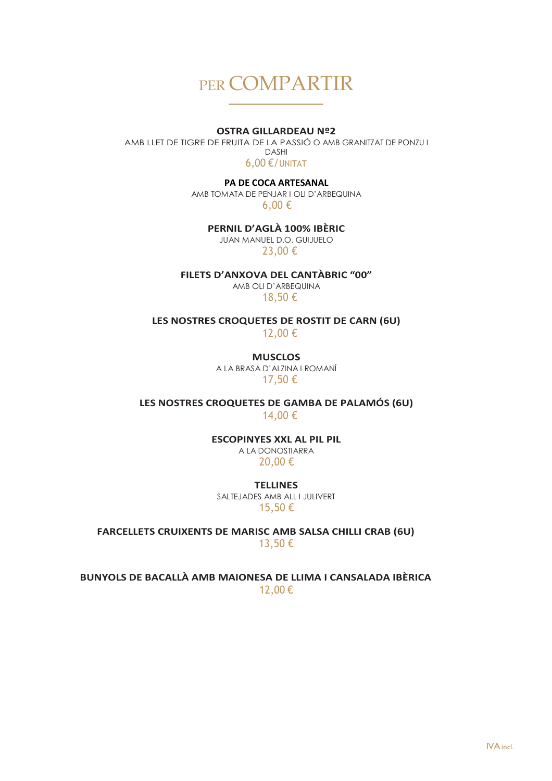# PER COMPARTIR

#### **OSTRA GILLARDEAU Nº2**

AMB LLET DE TIGRE DE FRUITA DE LA PASSIÓ O AMB GRANITZAT DE PONZU I DASHI 6,00 €/UNITAT

**PA DE COCA ARTESANAL** 

AMB TOMATA DE PENJAR I OLI D'ARBEQUINA 6,00 €

**PERNIL D'AGLÀ 100% IBÈRIC**

JUAN MANUEL D.O. GUIJUELO 23,00 €

**FILETS D'ANXOVA DEL CANTÀBRIC "00"**

AMB OLI D'ARBEQUINA 18,50 €

**LES NOSTRES CROQUETES DE ROSTIT DE CARN (6U)**

12,00 €

**MUSCLOS** A LA BRASA D'ALZINA I ROMANÍ 17,50 €

**LES NOSTRES CROQUETES DE GAMBA DE PALAMÓS (6U)** 14,00 €

> **ESCOPINYES XXL AL PIL PIL** A LA DONOSTIARRA

20,00 €

**TELLINES** SALTEJADES AMB ALL I JULIVERT 15,50 €

**FARCELLETS CRUIXENTS DE MARISC AMB SALSA CHILLI CRAB (6U)** 13,50 €

**BUNYOLS DE BACALLÀ AMB MAIONESA DE LLIMA I CANSALADA IBÈRICA**  12,00 €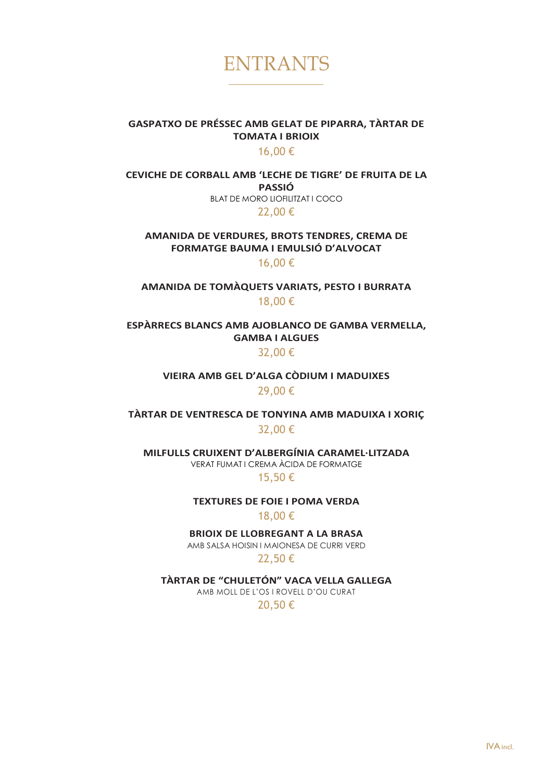

S

### **GASPATXO DE PRÉSSEC AMB GELAT DE PIPARRA, TÀRTAR DE TOMATA I BRIOIX**

### 16,00 €

**CEVICHE DE CORBALL AMB 'LECHE DE TIGRE' DE FRUITA DE LA PASSIÓ**  BLAT DE MORO LIOFILITZAT I COCO 22,00 €

**AMANIDA DE VERDURES, BROTS TENDRES, CREMA DE FORMATGE BAUMA I EMULSIÓ D'ALVOCAT**

16,00 €

**AMANIDA DE TOMÀQUETS VARIATS, PESTO I BURRATA** 18,00 €

**ESPÀRRECS BLANCS AMB AJOBLANCO DE GAMBA VERMELLA, GAMBA I ALGUES**  32,00 €

> **VIEIRA AMB GEL D'ALGA CÒDIUM I MADUIXES**  29,00 €

**TÀRTAR DE VENTRESCA DE TONYINA AMB MADUIXA I XORIÇ**  32,00 €

**MILFULLS CRUIXENT D'ALBERGÍNIA CARAMEL·LITZADA** VERAT FUMAT I CREMA ÀCIDA DE FORMATGE

15,50 €

**TEXTURES DE FOIE I POMA VERDA** 

18,00 €

**BRIOIX DE LLOBREGANT A LA BRASA** 

AMB SALSA HOISIN I MAIONESA DE CURRI VERD

22,50 €

**TÀRTAR DE "CHULETÓN" VACA VELLA GALLEGA**

AMB MOLL DE L'OS I ROVELL D'OU CURAT

20,50 €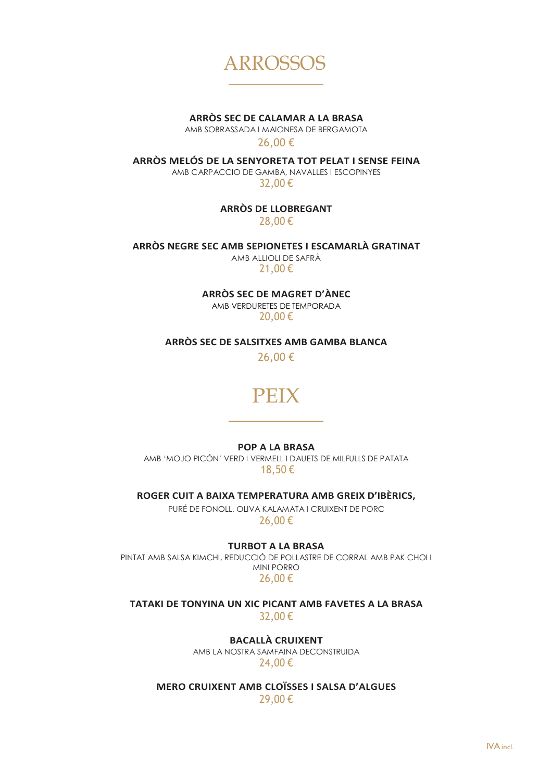

**ARRÒS SEC DE CALAMAR A LA BRASA**

AMB SOBRASSADA I MAIONESA DE BERGAMOTA

26,00 €

**ARRÒS MELÓS DE LA SENYORETA TOT PELAT I SENSE FEINA** AMB CARPACCIO DE GAMBA, NAVALLES I ESCOPINYES

32,00 €

**ARRÒS DE LLOBREGANT** 28,00 €

**ARRÒS NEGRE SEC AMB SEPIONETES I ESCAMARLÀ GRATINAT**

AMB ALLIOLI DE SAFRÀ 21,00 €

**ARRÒS SEC DE MAGRET D'ÀNEC** AMB VERDURETES DE TEMPORADA

20,00 €

**ARRÒS SEC DE SALSITXES AMB GAMBA BLANCA**

26,00 €

## PEIX

**POP A LA BRASA**

AMB 'MOJO PICÓN' VERD I VERMELL I DAUETS DE MILFULLS DE PATATA 18,50 €

**ROGER CUIT A BAIXA TEMPERATURA AMB GREIX D'IBÈRICS,**

PURÉ DE FONOLL, OLIVA KALAMATA I CRUIXENT DE PORC 26,00 €

**TURBOT A LA BRASA** 

PINTAT AMB SALSA KIMCHI, REDUCCIÓ DE POLLASTRE DE CORRAL AMB PAK CHOI I MINI PORRO 26,00 €

**TATAKI DE TONYINA UN XIC PICANT AMB FAVETES A LA BRASA**  32,00 €

**BACALLÀ CRUIXENT** 

AMB LA NOSTRA SAMFAINA DECONSTRUIDA 24,00 €

**MERO CRUIXENT AMB CLOÏSSES I SALSA D'ALGUES**  29,00 €